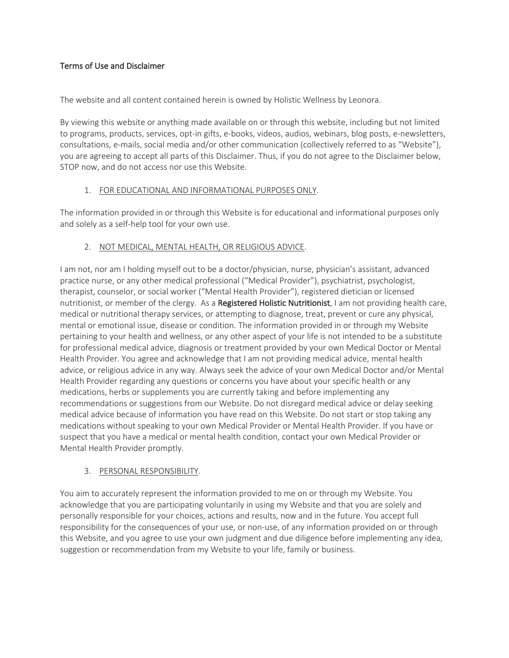## Terms of Use and Disclaimer

The website and all content contained herein is owned by Holistic Wellness by Leonora.

By viewing this website or anything made available on or through this website, including but not limited to programs, products, services, opt-in gifts, e-books, videos, audios, webinars, blog posts, e-newsletters, consultations, e-mails, social media and/or other communication (collectively referred to as "Website"), you are agreeing to accept all parts of this Disclaimer. Thus, if you do not agree to the Disclaimer below, STOP now, and do not access nor use this Website.

### 1. FOR EDUCATIONAL AND INFORMATIONAL PURPOSES ONLY.

The information provided in or through this Website is for educational and informational purposes only and solely as a self-help tool for your own use.

### 2. NOT MEDICAL, MENTAL HEALTH, OR RELIGIOUS ADVICE.

I am not, nor am I holding myself out to be a doctor/physician, nurse, physician's assistant, advanced practice nurse, or any other medical professional ("Medical Provider"), psychiatrist, psychologist, therapist, counselor, or social worker ("Mental Health Provider"), registered dietician or licensed nutritionist, or member of the clergy. As a Registered Holistic Nutritionist, I am not providing health care, medical or nutritional therapy services, or attempting to diagnose, treat, prevent or cure any physical, mental or emotional issue, disease or condition. The information provided in or through my Website pertaining to your health and wellness, or any other aspect of your life is not intended to be a substitute for professional medical advice, diagnosis or treatment provided by your own Medical Doctor or Mental Health Provider. You agree and acknowledge that I am not providing medical advice, mental health advice, or religious advice in any way. Always seek the advice of your own Medical Doctor and/or Mental Health Provider regarding any questions or concerns you have about your specific health or any medications, herbs or supplements you are currently taking and before implementing any recommendations or suggestions from our Website. Do not disregard medical advice or delay seeking medical advice because of information you have read on this Website. Do not start or stop taking any medications without speaking to your own Medical Provider or Mental Health Provider. If you have or suspect that you have a medical or mental health condition, contact your own Medical Provider or Mental Health Provider promptly.

### 3. PERSONAL RESPONSIBILITY.

You aim to accurately represent the information provided to me on or through my Website. You acknowledge that you are participating voluntarily in using my Website and that you are solely and personally responsible for your choices, actions and results, now and in the future. You accept full responsibility for the consequences of your use, or non-use, of any information provided on or through this Website, and you agree to use your own judgment and due diligence before implementing any idea, suggestion or recommendation from my Website to your life, family or business.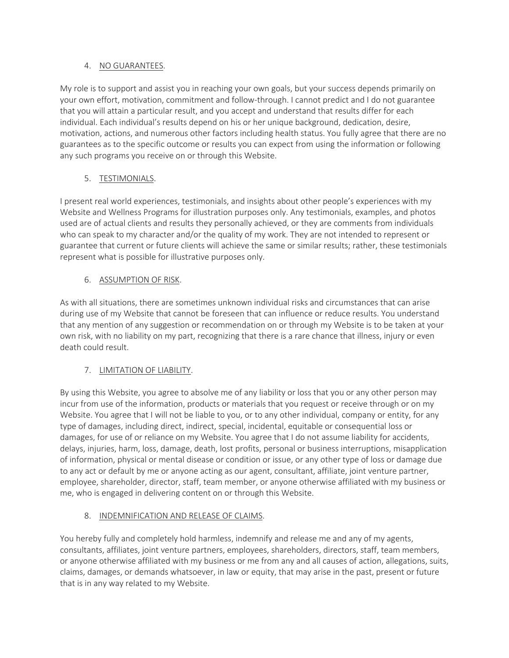### 4. NO GUARANTEES.

My role is to support and assist you in reaching your own goals, but your success depends primarily on your own effort, motivation, commitment and follow-through. I cannot predict and I do not guarantee that you will attain a particular result, and you accept and understand that results differ for each individual. Each individual's results depend on his or her unique background, dedication, desire, motivation, actions, and numerous other factors including health status. You fully agree that there are no guarantees as to the specific outcome or results you can expect from using the information or following any such programs you receive on or through this Website.

# 5. TESTIMONIALS.

I present real world experiences, testimonials, and insights about other people's experiences with my Website and Wellness Programs for illustration purposes only. Any testimonials, examples, and photos used are of actual clients and results they personally achieved, or they are comments from individuals who can speak to my character and/or the quality of my work. They are not intended to represent or guarantee that current or future clients will achieve the same or similar results; rather, these testimonials represent what is possible for illustrative purposes only.

## 6. ASSUMPTION OF RISK.

As with all situations, there are sometimes unknown individual risks and circumstances that can arise during use of my Website that cannot be foreseen that can influence or reduce results. You understand that any mention of any suggestion or recommendation on or through my Website is to be taken at your own risk, with no liability on my part, recognizing that there is a rare chance that illness, injury or even death could result.

# 7. LIMITATION OF LIABILITY.

By using this Website, you agree to absolve me of any liability or loss that you or any other person may incur from use of the information, products or materials that you request or receive through or on my Website. You agree that I will not be liable to you, or to any other individual, company or entity, for any type of damages, including direct, indirect, special, incidental, equitable or consequential loss or damages, for use of or reliance on my Website. You agree that I do not assume liability for accidents, delays, injuries, harm, loss, damage, death, lost profits, personal or business interruptions, misapplication of information, physical or mental disease or condition or issue, or any other type of loss or damage due to any act or default by me or anyone acting as our agent, consultant, affiliate, joint venture partner, employee, shareholder, director, staff, team member, or anyone otherwise affiliated with my business or me, who is engaged in delivering content on or through this Website.

# 8. INDEMNIFICATION AND RELEASE OF CLAIMS.

You hereby fully and completely hold harmless, indemnify and release me and any of my agents, consultants, affiliates, joint venture partners, employees, shareholders, directors, staff, team members, or anyone otherwise affiliated with my business or me from any and all causes of action, allegations, suits, claims, damages, or demands whatsoever, in law or equity, that may arise in the past, present or future that is in any way related to my Website.